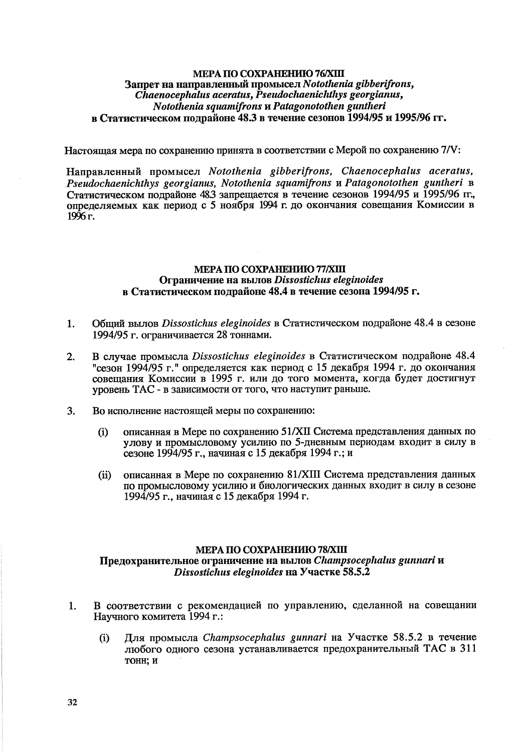## МЕРА ПО СОХРАНЕНИЮ 78/ХШ Предохранительное ограничение на вылов Champsocephalus gunnari и Dissostichus eleginoides на Участке 58.5.2

- В соответствии с рекомендацией по управлению, сделанной на совещании Научного комитета 1994 г.:
	- Для промысла Champsocephalus gunnari на Участке 58.5.2 в течение  $(i)$ любого одного сезона устанавливается предохранительный ТАС в 311 тонн: и